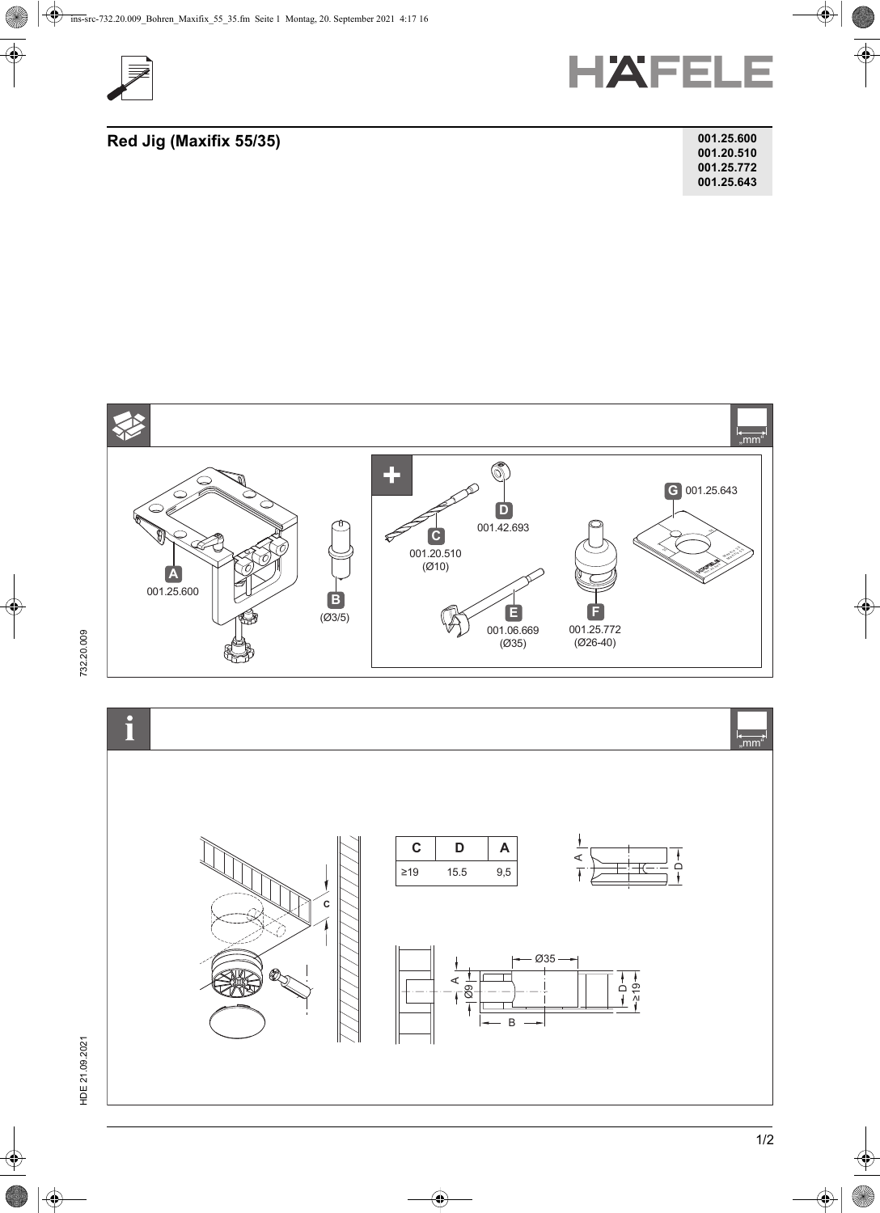



## **Red Jig (Maxifix 55/35)**

| 001.25.600 |
|------------|
| 001.20.510 |
| 001.25.772 |
| 001.25.643 |





732.20.009